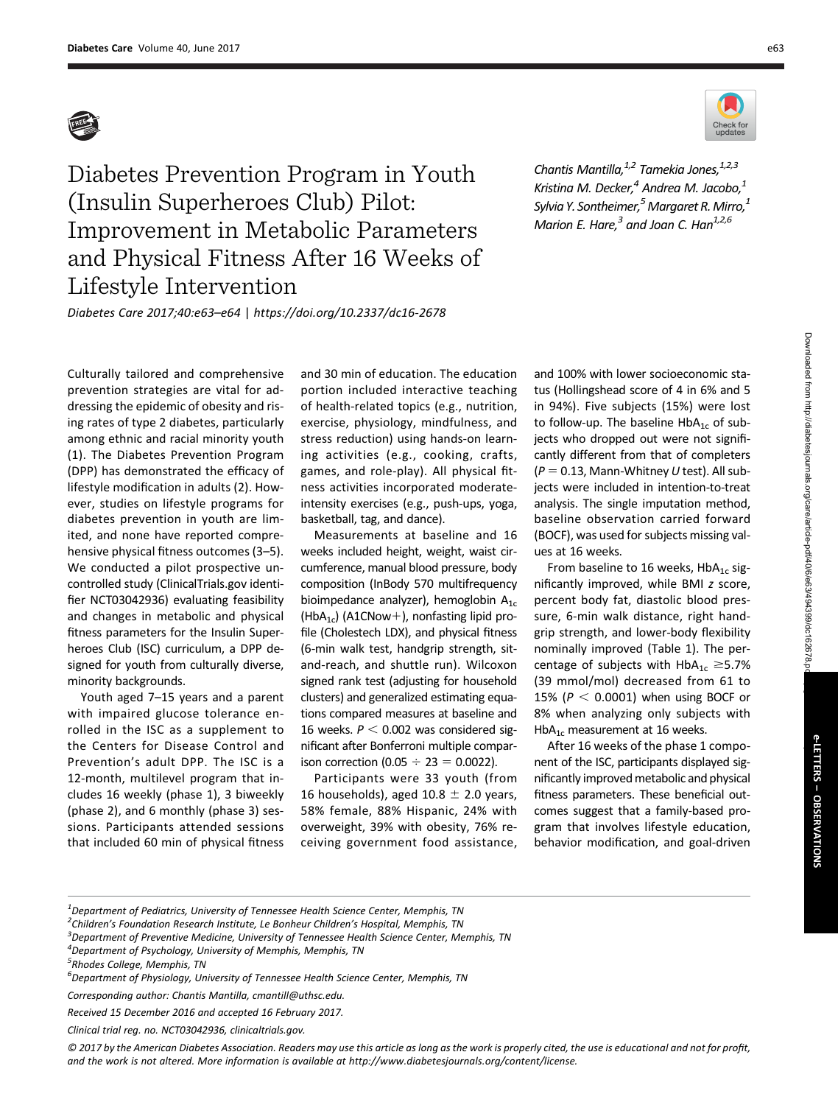

Diabetes Prevention Program in Youth (Insulin Superheroes Club) Pilot: Improvement in Metabolic Parameters and Physical Fitness After 16 Weeks of Lifestyle Intervention

Chantis Mantilla, $^{1,2}$  Tamekia Jones, $^{1,2,3}$ Kristina M. Decker, $4$  Andrea M. Jacobo, $1$ Sylvia Y. Sontheimer,  $5$  Margaret R. Mirro,  $1$ Marion E. Hare, $3$  and Joan C. Han<sup>1,2,6</sup>

Diabetes Care 2017;40:e63–e64 | <https://doi.org/10.2337/dc16-2678>

Culturally tailored and comprehensive prevention strategies are vital for addressing the epidemic of obesity and rising rates of type 2 diabetes, particularly among ethnic and racial minority youth (1). The Diabetes Prevention Program (DPP) has demonstrated the efficacy of lifestyle modification in adults (2). However, studies on lifestyle programs for diabetes prevention in youth are limited, and none have reported comprehensive physical fitness outcomes (3–5). We conducted a pilot prospective uncontrolled study [\(ClinicalTrials.gov](http://ClinicalTrials.gov) identifier NCT03042936) evaluating feasibility and changes in metabolic and physical fitness parameters for the Insulin Superheroes Club (ISC) curriculum, a DPP designed for youth from culturally diverse, minority backgrounds.

Youth aged 7–15 years and a parent with impaired glucose tolerance enrolled in the ISC as a supplement to the Centers for Disease Control and Prevention's adult DPP. The ISC is a 12-month, multilevel program that includes 16 weekly (phase 1), 3 biweekly (phase 2), and 6 monthly (phase 3) sessions. Participants attended sessions that included 60 min of physical fitness

and 30 min of education. The education portion included interactive teaching of health-related topics (e.g., nutrition, exercise, physiology, mindfulness, and stress reduction) using hands-on learning activities (e.g., cooking, crafts, games, and role-play). All physical fitness activities incorporated moderateintensity exercises (e.g., push-ups, yoga, basketball, tag, and dance).

Measurements at baseline and 16 weeks included height, weight, waist circumference, manual blood pressure, body composition (InBody 570 multifrequency bioimpedance analyzer), hemoglobin  $A_{1c}$ (HbA<sub>1c</sub>) (A1CNow+), nonfasting lipid profile (Cholestech LDX), and physical fitness (6-min walk test, handgrip strength, sitand-reach, and shuttle run). Wilcoxon signed rank test (adjusting for household clusters) and generalized estimating equations compared measures at baseline and 16 weeks.  $P < 0.002$  was considered significant after Bonferroni multiple comparison correction (0.05  $\div$  23 = 0.0022).

Participants were 33 youth (from 16 households), aged 10.8  $\pm$  2.0 years, 58% female, 88% Hispanic, 24% with overweight, 39% with obesity, 76% receiving government food assistance, and 100% with lower socioeconomic status (Hollingshead score of 4 in 6% and 5 in 94%). Five subjects (15%) were lost to follow-up. The baseline  $HbA_{1c}$  of subjects who dropped out were not significantly different from that of completers  $(P = 0.13,$  Mann-Whitney U test). All subjects were included in intention-to-treat analysis. The single imputation method, baseline observation carried forward (BOCF), was used for subjects missing values at 16 weeks.

From baseline to 16 weeks,  $HbA_{1c}$  significantly improved, while BMI z score, percent body fat, diastolic blood pressure, 6-min walk distance, right handgrip strength, and lower-body flexibility nominally improved (Table 1). The percentage of subjects with  $HbA_{1c} \ge 5.7\%$ (39 mmol/mol) decreased from 61 to 15% ( $P < 0.0001$ ) when using BOCF or 8% when analyzing only subjects with  $HbA_{1c}$  measurement at 16 weeks.

After 16 weeks of the phase 1 component of the ISC, participants displayed significantly improved metabolic and physical fitness parameters. These beneficial outcomes suggest that a family-based program that involves lifestyle education, behavior modification, and goal-driven

 $^{\rm 1}$ Department of Pediatrics, University of Tennessee Health Science Center, Memphis, TN

<sup>&</sup>lt;sup>2</sup>Children's Foundation Research Institute, Le Bonheur Children's Hospital, Memphis, TN<br><sup>3</sup>Denartment of Bravantive Medicine, University of Tannessee Horlth Science Center, Me

 $^3$ Department of Preventive Medicine, University of Tennessee Health Science Center, Memphis, TN

<sup>4</sup> Department of Psychology, University of Memphis, Memphis, TN

<sup>&</sup>lt;sup>5</sup>Rhodes College, Memphis, TN

<sup>6</sup> Department of Physiology, University of Tennessee Health Science Center, Memphis, TN

Corresponding author: Chantis Mantilla, [cmantill@uthsc.edu.](mailto:cmantill@uthsc.edu)

Received 15 December 2016 and accepted 16 February 2017.

Clinical trial reg. no. NCT03042936, [clinicaltrials.gov.](http://<?twbch=)

<sup>© 2017</sup> by the American Diabetes Association. Readers may use this article as long as the work is properly cited, the use is educational and not for profit, and the work is not altered. More information is available at [http://www.diabetesjournals.org/content/license.](http://www.diabetesjournals.org/content/license)